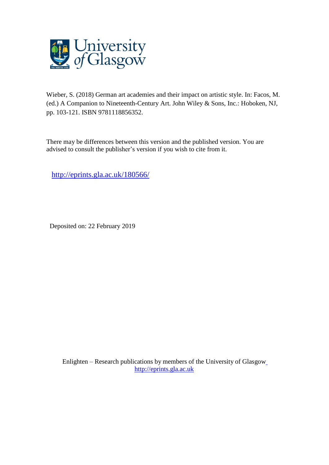

Wieber, S. (2018) German art academies and their impact on artistic style. In: Facos, M. (ed.) A Companion to Nineteenth-Century Art. John Wiley & Sons, Inc.: Hoboken, NJ, pp. 103-121. ISBN 9781118856352.

There may be differences between this version and the published version. You are advised to consult the publisher's version if you wish to cite from it.

<http://eprints.gla.ac.uk/180566/>

Deposited on: 22 February 2019

Enlighten – Research publications by members of the University of Glasgo[w](http://eprints.gla.ac.uk/) [http://eprints.gla.ac.uk](http://eprints.gla.ac.uk/)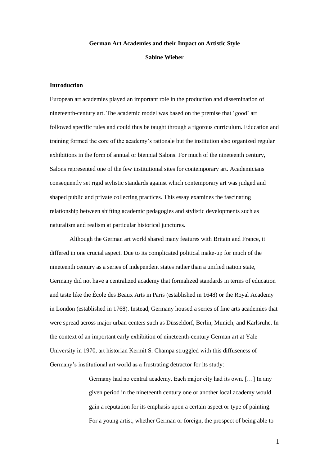# **German Art Academies and their Impact on Artistic Style Sabine Wieber**

#### **Introduction**

European art academies played an important role in the production and dissemination of nineteenth-century art. The academic model was based on the premise that 'good' art followed specific rules and could thus be taught through a rigorous curriculum. Education and training formed the core of the academy's rationale but the institution also organized regular exhibitions in the form of annual or biennial Salons. For much of the nineteenth century, Salons represented one of the few institutional sites for contemporary art. Academicians consequently set rigid stylistic standards against which contemporary art was judged and shaped public and private collecting practices. This essay examines the fascinating relationship between shifting academic pedagogies and stylistic developments such as naturalism and realism at particular historical junctures.

Although the German art world shared many features with Britain and France, it differed in one crucial aspect. Due to its complicated political make-up for much of the nineteenth century as a series of independent states rather than a unified nation state, Germany did not have a centralized academy that formalized standards in terms of education and taste like the École des Beaux Arts in Paris (established in 1648) or the Royal Academy in London (established in 1768). Instead, Germany housed a series of fine arts academies that were spread across major urban centers such as Düsseldorf, Berlin, Munich, and Karlsruhe. In the context of an important early exhibition of nineteenth-century German art at Yale University in 1970, art historian Kermit S. Champa struggled with this diffuseness of Germany's institutional art world as a frustrating detractor for its study:

> Germany had no central academy. Each major city had its own. […] In any given period in the nineteenth century one or another local academy would gain a reputation for its emphasis upon a certain aspect or type of painting. For a young artist, whether German or foreign, the prospect of being able to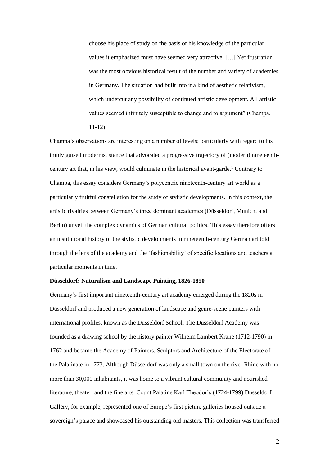choose his place of study on the basis of his knowledge of the particular values it emphasized must have seemed very attractive. […] Yet frustration was the most obvious historical result of the number and variety of academies in Germany. The situation had built into it a kind of aesthetic relativism, which undercut any possibility of continued artistic development. All artistic values seemed infinitely susceptible to change and to argument" (Champa, 11-12).

Champa's observations are interesting on a number of levels; particularly with regard to his thinly guised modernist stance that advocated a progressive trajectory of (modern) nineteenthcentury art that, in his view, would culminate in the historical avant-garde.<sup>1</sup> Contrary to Champa, this essay considers Germany's polycentric nineteenth-century art world as a particularly fruitful constellation for the study of stylistic developments. In this context, the artistic rivalries between Germany's three dominant academies (Düsseldorf, Munich, and Berlin) unveil the complex dynamics of German cultural politics. This essay therefore offers an institutional history of the stylistic developments in nineteenth-century German art told through the lens of the academy and the 'fashionability' of specific locations and teachers at particular moments in time.

## **Düsseldorf: Naturalism and Landscape Painting, 1826-1850**

Germany's first important nineteenth-century art academy emerged during the 1820s in Düsseldorf and produced a new generation of landscape and genre-scene painters with international profiles, known as the Düsseldorf School. The Düsseldorf Academy was founded as a drawing school by the history painter Wilhelm Lambert Krahe (1712-1790) in 1762 and became the Academy of Painters, Sculptors and Architecture of the Electorate of the Palatinate in 1773. Although Düsseldorf was only a small town on the river Rhine with no more than 30,000 inhabitants, it was home to a vibrant cultural community and nourished literature, theater, and the fine arts. Count Palatine Karl Theodor's (1724-1799) Düsseldorf Gallery, for example, represented one of Europe's first picture galleries housed outside a sovereign's palace and showcased his outstanding old masters. This collection was transferred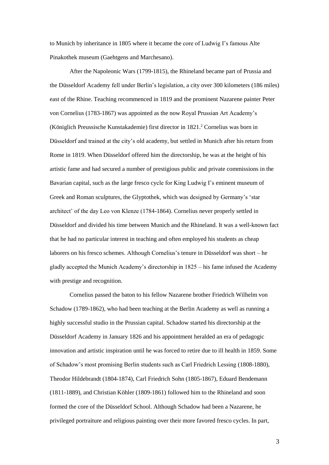to Munich by inheritance in 1805 where it became the core of Ludwig I's famous Alte Pinakothek museum (Gaehtgens and Marchesano).

After the Napoleonic Wars (1799-1815), the Rhineland became part of Prussia and the Düsseldorf Academy fell under Berlin's legislation, a city over 300 kilometers (186 miles) east of the Rhine. Teaching recommenced in 1819 and the prominent Nazarene painter Peter von Cornelius (1783-1867) was appointed as the now Royal Prussian Art Academy's (Königlich Preussische Kunstakademie) first director in 1821. <sup>2</sup> Cornelius was born in Düsseldorf and trained at the city's old academy, but settled in Munich after his return from Rome in 1819. When Düsseldorf offered him the directorship, he was at the height of his artistic fame and had secured a number of prestigious public and private commissions in the Bavarian capital, such as the large fresco cycle for King Ludwig I's eminent museum of Greek and Roman sculptures, the Glyptothek, which was designed by Germany's 'star architect' of the day Leo von Klenze (1784-1864). Cornelius never properly settled in Düsseldorf and divided his time between Munich and the Rhineland. It was a well-known fact that he had no particular interest in teaching and often employed his students as cheap laborers on his fresco schemes. Although Cornelius's tenure in Düsseldorf was short – he gladly accepted the Munich Academy's directorship in 1825 – his fame infused the Academy with prestige and recognition.

Cornelius passed the baton to his fellow Nazarene brother Friedrich Wilhelm von Schadow (1789-1862), who had been teaching at the Berlin Academy as well as running a highly successful studio in the Prussian capital. Schadow started his directorship at the Düsseldorf Academy in January 1826 and his appointment heralded an era of pedagogic innovation and artistic inspiration until he was forced to retire due to ill health in 1859. Some of Schadow's most promising Berlin students such as Carl Friedrich Lessing (1808-1880), Theodor Hildebrandt (1804-1874), Carl Friedrich Sohn (1805-1867), Eduard Bendemann (1811-1889), and Christian Köhler (1809-1861) followed him to the Rhineland and soon formed the core of the Düsseldorf School. Although Schadow had been a Nazarene, he privileged portraiture and religious painting over their more favored fresco cycles. In part,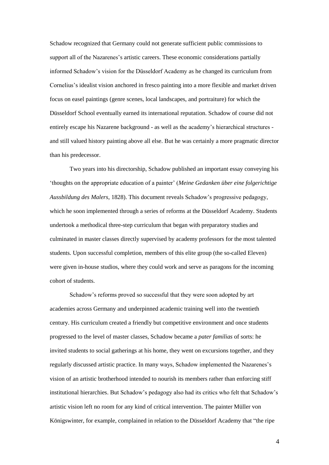Schadow recognized that Germany could not generate sufficient public commissions to support all of the Nazarenes's artistic careers. These economic considerations partially informed Schadow's vision for the Düsseldorf Academy as he changed its curriculum from Cornelius's idealist vision anchored in fresco painting into a more flexible and market driven focus on easel paintings (genre scenes, local landscapes, and portraiture) for which the Düsseldorf School eventually earned its international reputation. Schadow of course did not entirely escape his Nazarene background - as well as the academy's hierarchical structures and still valued history painting above all else. But he was certainly a more pragmatic director than his predecessor.

Two years into his directorship, Schadow published an important essay conveying his 'thoughts on the appropriate education of a painter' (*Meine Gedanken über eine folgerichtige Aussbildung des Malers*, 1828). This document reveals Schadow's progressive pedagogy, which he soon implemented through a series of reforms at the Düsseldorf Academy. Students undertook a methodical three-step curriculum that began with preparatory studies and culminated in master classes directly supervised by academy professors for the most talented students. Upon successful completion, members of this elite group (the so-called Eleven) were given in-house studios, where they could work and serve as paragons for the incoming cohort of students.

Schadow's reforms proved so successful that they were soon adopted by art academies across Germany and underpinned academic training well into the twentieth century. His curriculum created a friendly but competitive environment and once students progressed to the level of master classes, Schadow became a *pater familias* of sorts: he invited students to social gatherings at his home, they went on excursions together, and they regularly discussed artistic practice. In many ways, Schadow implemented the Nazarenes's vision of an artistic brotherhood intended to nourish its members rather than enforcing stiff institutional hierarchies. But Schadow's pedagogy also had its critics who felt that Schadow's artistic vision left no room for any kind of critical intervention. The painter Müller von Königswinter, for example, complained in relation to the Düsseldorf Academy that "the ripe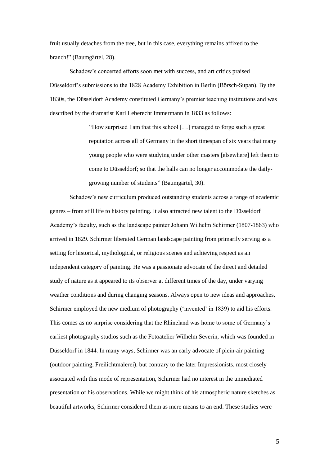fruit usually detaches from the tree, but in this case, everything remains affixed to the branch!" (Baumgärtel, 28).

Schadow's concerted efforts soon met with success, and art critics praised Düsseldorf's submissions to the 1828 Academy Exhibition in Berlin (Börsch-Supan). By the 1830s, the Düsseldorf Academy constituted Germany's premier teaching institutions and was described by the dramatist Karl Leberecht Immermann in 1833 as follows:

> "How surprised I am that this school […] managed to forge such a great reputation across all of Germany in the short timespan of six years that many young people who were studying under other masters [elsewhere] left them to come to Düsseldorf; so that the halls can no longer accommodate the dailygrowing number of students" (Baumgärtel, 30).

Schadow's new curriculum produced outstanding students across a range of academic genres – from still life to history painting. It also attracted new talent to the Düsseldorf Academy's faculty, such as the landscape painter Johann Wilhelm Schirmer (1807-1863) who arrived in 1829. Schirmer liberated German landscape painting from primarily serving as a setting for historical, mythological, or religious scenes and achieving respect as an independent category of painting. He was a passionate advocate of the direct and detailed study of nature as it appeared to its observer at different times of the day, under varying weather conditions and during changing seasons. Always open to new ideas and approaches, Schirmer employed the new medium of photography ('invented' in 1839) to aid his efforts. This comes as no surprise considering that the Rhineland was home to some of Germany's earliest photography studios such as the Fotoatelier Wilhelm Severin, which was founded in Düsseldorf in 1844. In many ways, Schirmer was an early advocate of plein-air painting (outdoor painting, Freilichtmalerei), but contrary to the later Impressionists, most closely associated with this mode of representation, Schirmer had no interest in the unmediated presentation of his observations. While we might think of his atmospheric nature sketches as beautiful artworks, Schirmer considered them as mere means to an end. These studies were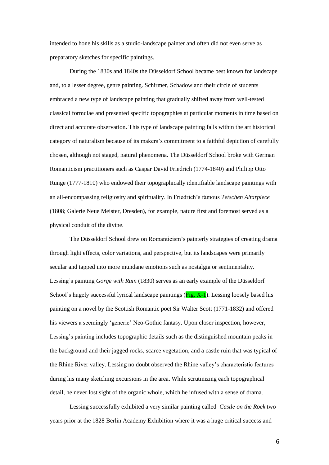intended to hone his skills as a studio-landscape painter and often did not even serve as preparatory sketches for specific paintings.

During the 1830s and 1840s the Düsseldorf School became best known for landscape and, to a lesser degree, genre painting. Schirmer, Schadow and their circle of students embraced a new type of landscape painting that gradually shifted away from well-tested classical formulae and presented specific topographies at particular moments in time based on direct and accurate observation. This type of landscape painting falls within the art historical category of naturalism because of its makers's commitment to a faithful depiction of carefully chosen, although not staged, natural phenomena. The Düsseldorf School broke with German Romanticism practitioners such as Caspar David Friedrich (1774-1840) and Philipp Otto Runge (1777-1810) who endowed their topographically identifiable landscape paintings with an all-encompassing religiosity and spirituality. In Friedrich's famous *Tetschen Altarpiece* (1808; Galerie Neue Meister, Dresden), for example, nature first and foremost served as a physical conduit of the divine.

The Düsseldorf School drew on Romanticism's painterly strategies of creating drama through light effects, color variations, and perspective, but its landscapes were primarily secular and tapped into more mundane emotions such as nostalgia or sentimentality. Lessing's painting *Gorge with Ruin* (1830) serves as an early example of the Düsseldorf School's hugely successful lyrical landscape paintings  $(Fig. X-1)$ . Lessing loosely based his painting on a novel by the Scottish Romantic poet Sir Walter Scott (1771-1832) and offered his viewers a seemingly 'generic' Neo-Gothic fantasy. Upon closer inspection, however, Lessing's painting includes topographic details such as the distinguished mountain peaks in the background and their jagged rocks, scarce vegetation, and a castle ruin that was typical of the Rhine River valley. Lessing no doubt observed the Rhine valley's characteristic features during his many sketching excursions in the area. While scrutinizing each topographical detail, he never lost sight of the organic whole, which he infused with a sense of drama.

Lessing successfully exhibited a very similar painting called *Castle on the Rock* two years prior at the 1828 Berlin Academy Exhibition where it was a huge critical success and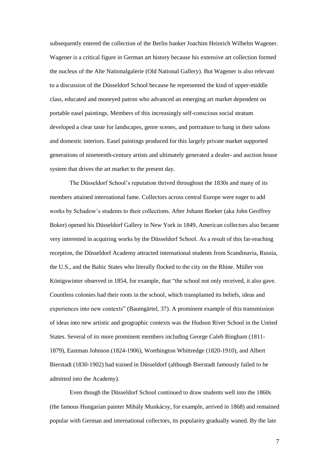subsequently entered the collection of the Berlin banker Joachim Heinrich Wilhelm Wagener. Wagener is a critical figure in German art history because his extensive art collection formed the nucleus of the Alte Nationalgalerie (Old National Gallery). But Wagener is also relevant to a discussion of the Düsseldorf School because he represented the kind of upper-middle class, educated and moneyed patron who advanced an emerging art market dependent on portable easel paintings. Members of this increasingly self-conscious social stratum developed a clear taste for landscapes, genre scenes, and portraiture to hang in their salons and domestic interiors. Easel paintings produced for this largely private market supported generations of nineteenth-century artists and ultimately generated a dealer- and auction house system that drives the art market to the present day.

The Düsseldorf School's reputation thrived throughout the 1830s and many of its members attained international fame. Collectors across central Europe were eager to add works by Schadow's students to their collections. After Johann Boeker (aka John Geoffrey Boker) opened his Düsseldorf Gallery in New York in 1849, American collectors also became very interested in acquiring works by the Düsseldorf School. As a result of this far-reaching reception, the Düsseldorf Academy attracted international students from Scandinavia, Russia, the U.S., and the Baltic States who literally flocked to the city on the Rhine. Müller von Königswinter observed in 1854, for example, that "the school not only received, it also gave. Countless colonies had their roots in the school, which transplanted its beliefs, ideas and experiences into new contexts" (Baumgärtel, 37). A prominent example of this transmission of ideas into new artistic and geographic contexts was the Hudson River School in the United States. Several of its more prominent members including George Caleb Bingham (1811- 1879), Eastman Johnson (1824-1906), Worthington Whittredge (1820-1910), and Albert Bierstadt (1830-1902) had trained in Düsseldorf (although Bierstadt famously failed to be admitted into the Academy).

Even though the Düsseldorf School continued to draw students well into the 1860s (the famous Hungarian painter Mihály Munkácsy, for example, arrived in 1868) and remained popular with German and international collectors, its popularity gradually waned. By the late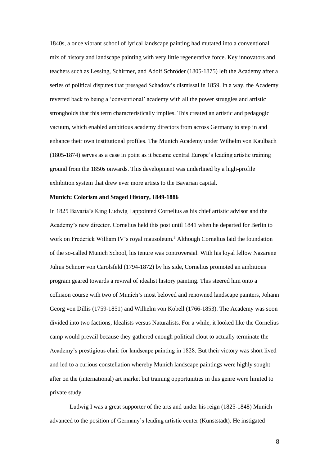1840s, a once vibrant school of lyrical landscape painting had mutated into a conventional mix of history and landscape painting with very little regenerative force. Key innovators and teachers such as Lessing, Schirmer, and Adolf Schröder (1805-1875) left the Academy after a series of political disputes that presaged Schadow's dismissal in 1859. In a way, the Academy reverted back to being a 'conventional' academy with all the power struggles and artistic strongholds that this term characteristically implies. This created an artistic and pedagogic vacuum, which enabled ambitious academy directors from across Germany to step in and enhance their own institutional profiles. The Munich Academy under Wilhelm von Kaulbach (1805-1874) serves as a case in point as it became central Europe's leading artistic training ground from the 1850s onwards. This development was underlined by a high-profile exhibition system that drew ever more artists to the Bavarian capital.

#### **Munich: Colorism and Staged History, 1849-1886**

In 1825 Bavaria's King Ludwig I appointed Cornelius as his chief artistic advisor and the Academy's new director. Cornelius held this post until 1841 when he departed for Berlin to work on Frederick William IV's royal mausoleum. <sup>3</sup> Although Cornelius laid the foundation of the so-called Munich School, his tenure was controversial. With his loyal fellow Nazarene Julius Schnorr von Carolsfeld (1794-1872) by his side, Cornelius promoted an ambitious program geared towards a revival of idealist history painting. This steered him onto a collision course with two of Munich's most beloved and renowned landscape painters, Johann Georg von Dillis (1759-1851) and Wilhelm von Kobell (1766-1853). The Academy was soon divided into two factions, Idealists versus Naturalists. For a while, it looked like the Cornelius camp would prevail because they gathered enough political clout to actually terminate the Academy's prestigious chair for landscape painting in 1828. But their victory was short lived and led to a curious constellation whereby Munich landscape paintings were highly sought after on the (international) art market but training opportunities in this genre were limited to private study.

Ludwig I was a great supporter of the arts and under his reign (1825-1848) Munich advanced to the position of Germany's leading artistic center (Kunststadt). He instigated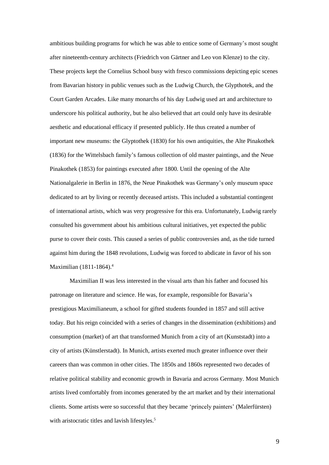ambitious building programs for which he was able to entice some of Germany's most sought after nineteenth-century architects (Friedrich von Gärtner and Leo von Klenze) to the city. These projects kept the Cornelius School busy with fresco commissions depicting epic scenes from Bavarian history in public venues such as the Ludwig Church, the Glypthotek, and the Court Garden Arcades. Like many monarchs of his day Ludwig used art and architecture to underscore his political authority, but he also believed that art could only have its desirable aesthetic and educational efficacy if presented publicly. He thus created a number of important new museums: the Glyptothek (1830) for his own antiquities, the Alte Pinakothek (1836) for the Wittelsbach family's famous collection of old master paintings, and the Neue Pinakothek (1853) for paintings executed after 1800. Until the opening of the Alte Nationalgalerie in Berlin in 1876, the Neue Pinakothek was Germany's only museum space dedicated to art by living or recently deceased artists. This included a substantial contingent of international artists, which was very progressive for this era. Unfortunately, Ludwig rarely consulted his government about his ambitious cultural initiatives, yet expected the public purse to cover their costs. This caused a series of public controversies and, as the tide turned against him during the 1848 revolutions, Ludwig was forced to abdicate in favor of his son Maximilian (1811-1864).<sup>4</sup>

Maximilian II was less interested in the visual arts than his father and focused his patronage on literature and science. He was, for example, responsible for Bavaria's prestigious Maximilianeum, a school for gifted students founded in 1857 and still active today. But his reign coincided with a series of changes in the dissemination (exhibitions) and consumption (market) of art that transformed Munich from a city of art (Kunststadt) into a city of artists (Künstlerstadt). In Munich, artists exerted much greater influence over their careers than was common in other cities. The 1850s and 1860s represented two decades of relative political stability and economic growth in Bavaria and across Germany. Most Munich artists lived comfortably from incomes generated by the art market and by their international clients. Some artists were so successful that they became 'princely painters' (Malerfürsten) with aristocratic titles and lavish lifestyles.<sup>5</sup>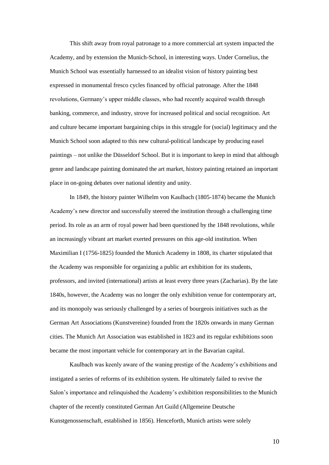This shift away from royal patronage to a more commercial art system impacted the Academy, and by extension the Munich-School, in interesting ways. Under Cornelius, the Munich School was essentially harnessed to an idealist vision of history painting best expressed in monumental fresco cycles financed by official patronage. After the 1848 revolutions, Germany's upper middle classes, who had recently acquired wealth through banking, commerce, and industry, strove for increased political and social recognition. Art and culture became important bargaining chips in this struggle for (social) legitimacy and the Munich School soon adapted to this new cultural-political landscape by producing easel paintings – not unlike the Düsseldorf School. But it is important to keep in mind that although genre and landscape painting dominated the art market, history painting retained an important place in on-going debates over national identity and unity.

In 1849, the history painter Wilhelm von Kaulbach (1805-1874) became the Munich Academy's new director and successfully steered the institution through a challenging time period. Its role as an arm of royal power had been questioned by the 1848 revolutions, while an increasingly vibrant art market exerted pressures on this age-old institution. When Maximilian I (1756-1825) founded the Munich Academy in 1808, its charter stipulated that the Academy was responsible for organizing a public art exhibition for its students, professors, and invited (international) artists at least every three years (Zacharias). By the late 1840s, however, the Academy was no longer the only exhibition venue for contemporary art, and its monopoly was seriously challenged by a series of bourgeois initiatives such as the German Art Associations (Kunstvereine) founded from the 1820s onwards in many German cities. The Munich Art Association was established in 1823 and its regular exhibitions soon became the most important vehicle for contemporary art in the Bavarian capital.

Kaulbach was keenly aware of the waning prestige of the Academy's exhibitions and instigated a series of reforms of its exhibition system. He ultimately failed to revive the Salon's importance and relinquished the Academy's exhibition responsibilities to the Munich chapter of the recently constituted German Art Guild (Allgemeine Deutsche Kunstgenossenschaft, established in 1856). Henceforth, Munich artists were solely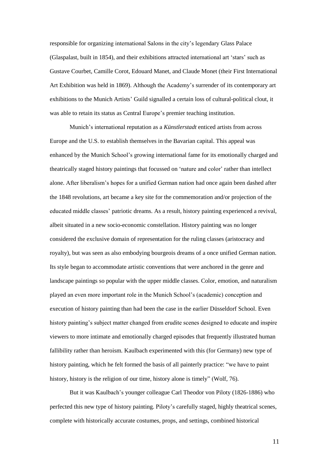responsible for organizing international Salons in the city's legendary Glass Palace (Glaspalast, built in 1854), and their exhibitions attracted international art 'stars' such as Gustave Courbet, Camille Corot, Edouard Manet, and Claude Monet (their First International Art Exhibition was held in 1869). Although the Academy's surrender of its contemporary art exhibitions to the Munich Artists' Guild signalled a certain loss of cultural-political clout, it was able to retain its status as Central Europe's premier teaching institution.

Munich's international reputation as a *Künstlerstadt* enticed artists from across Europe and the U.S. to establish themselves in the Bavarian capital. This appeal was enhanced by the Munich School's growing international fame for its emotionally charged and theatrically staged history paintings that focussed on 'nature and color' rather than intellect alone. After liberalism's hopes for a unified German nation had once again been dashed after the 1848 revolutions, art became a key site for the commemoration and/or projection of the educated middle classes' patriotic dreams. As a result, history painting experienced a revival, albeit situated in a new socio-economic constellation. History painting was no longer considered the exclusive domain of representation for the ruling classes (aristocracy and royalty), but was seen as also embodying bourgeois dreams of a once unified German nation. Its style began to accommodate artistic conventions that were anchored in the genre and landscape paintings so popular with the upper middle classes. Color, emotion, and naturalism played an even more important role in the Munich School's (academic) conception and execution of history painting than had been the case in the earlier Düsseldorf School. Even history painting's subject matter changed from erudite scenes designed to educate and inspire viewers to more intimate and emotionally charged episodes that frequently illustrated human fallibility rather than heroism. Kaulbach experimented with this (for Germany) new type of history painting, which he felt formed the basis of all painterly practice: "we have to paint history, history is the religion of our time, history alone is timely" (Wolf, 76).

But it was Kaulbach's younger colleague Carl Theodor von Piloty (1826-1886) who perfected this new type of history painting. Piloty's carefully staged, highly theatrical scenes, complete with historically accurate costumes, props, and settings, combined historical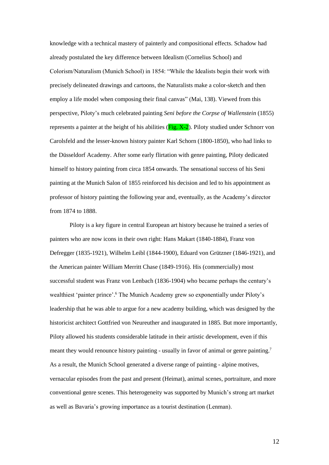knowledge with a technical mastery of painterly and compositional effects. Schadow had already postulated the key difference between Idealism (Cornelius School) and Colorism/Naturalism (Munich School) in 1854: "While the Idealists begin their work with precisely delineated drawings and cartoons, the Naturalists make a color-sketch and then employ a life model when composing their final canvas" (Mai, 138). Viewed from this perspective, Piloty's much celebrated painting *Seni before the Corpse of Wallenstein* (1855) represents a painter at the height of his abilities  $(Fig, X-2)$ . Piloty studied under Schnorr von Carolsfeld and the lesser-known history painter Karl Schorn (1800-1850), who had links to the Düsseldorf Academy. After some early flirtation with genre painting, Piloty dedicated himself to history painting from circa 1854 onwards. The sensational success of his Seni painting at the Munich Salon of 1855 reinforced his decision and led to his appointment as professor of history painting the following year and, eventually, as the Academy's director from 1874 to 1888.

Piloty is a key figure in central European art history because he trained a series of painters who are now icons in their own right: Hans Makart (1840-1884), Franz von Defregger (1835-1921), Wilhelm Leibl (1844-1900), Eduard von Grützner (1846-1921), and the American painter William Merritt Chase (1849-1916). His (commercially) most successful student was Franz von Lenbach (1836-1904) who became perhaps the century's wealthiest 'painter prince'.<sup>6</sup> The Munich Academy grew so exponentially under Piloty's leadership that he was able to argue for a new academy building, which was designed by the historicist architect Gottfried von Neureuther and inaugurated in 1885. But more importantly, Piloty allowed his students considerable latitude in their artistic development, even if this meant they would renounce history painting - usually in favor of animal or genre painting.<sup>7</sup> As a result, the Munich School generated a diverse range of painting - alpine motives, vernacular episodes from the past and present (Heimat), animal scenes, portraiture, and more conventional genre scenes. This heterogeneity was supported by Munich's strong art market as well as Bavaria's growing importance as a tourist destination (Lenman).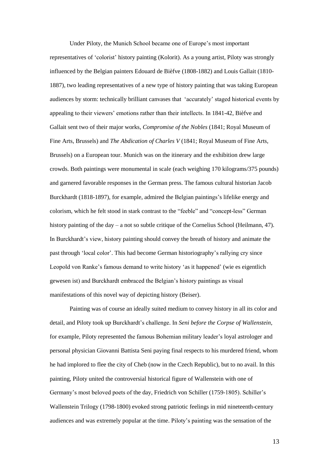Under Piloty, the Munich School became one of Europe's most important representatives of 'colorist' history painting (Kolorit). As a young artist, Piloty was strongly influenced by the Belgian painters Edouard de Bièfve (1808-1882) and Louis Gallait (1810- 1887), two leading representatives of a new type of history painting that was taking European audiences by storm: technically brilliant canvases that 'accurately' staged historical events by appealing to their viewers' emotions rather than their intellects. In 1841-42, Bièfve and Gallait sent two of their major works, *Compromise of the Nobles* (1841; Royal Museum of Fine Arts, Brussels) and *The Abdication of Charles V* (1841; Royal Museum of Fine Arts, Brussels) on a European tour. Munich was on the itinerary and the exhibition drew large crowds. Both paintings were monumental in scale (each weighing 170 kilograms/375 pounds) and garnered favorable responses in the German press. The famous cultural historian Jacob Burckhardt (1818-1897), for example, admired the Belgian paintings's lifelike energy and colorism, which he felt stood in stark contrast to the "feeble" and "concept-less" German history painting of the day – a not so subtle critique of the Cornelius School (Heilmann, 47). In Burckhardt's view, history painting should convey the breath of history and animate the past through 'local color'. This had become German historiography's rallying cry since Leopold von Ranke's famous demand to write history 'as it happened' (wie es eigentlich gewesen ist) and Burckhardt embraced the Belgian's history paintings as visual manifestations of this novel way of depicting history (Beiser).

Painting was of course an ideally suited medium to convey history in all its color and detail, and Piloty took up Burckhardt's challenge. In *Seni before the Corpse of Wallenstein*, for example, Piloty represented the famous Bohemian military leader's loyal astrologer and personal physician Giovanni Battista Seni paying final respects to his murdered friend, whom he had implored to flee the city of Cheb (now in the Czech Republic), but to no avail. In this painting, Piloty united the controversial historical figure of Wallenstein with one of Germany's most beloved poets of the day, Friedrich von Schiller (1759-1805). Schiller's Wallenstein Trilogy (1798-1800) evoked strong patriotic feelings in mid nineteenth-century audiences and was extremely popular at the time. Piloty's painting was the sensation of the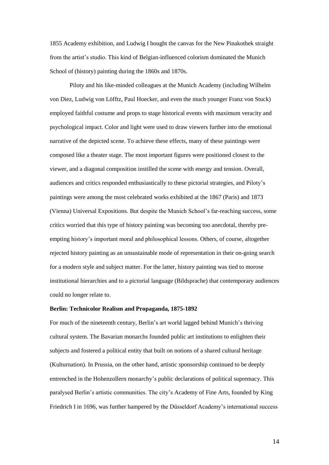1855 Academy exhibition, and Ludwig I bought the canvas for the New Pinakothek straight from the artist's studio. This kind of Belgian-influenced colorism dominated the Munich School of (history) painting during the 1860s and 1870s.

Piloty and his like-minded colleagues at the Munich Academy (including Wilhelm von Diez, Ludwig von Löfftz, Paul Hoecker, and even the much younger Franz von Stuck) employed faithful costume and props to stage historical events with maximum veracity and psychological impact. Color and light were used to draw viewers further into the emotional narrative of the depicted scene. To achieve these effects, many of these paintings were composed like a theater stage. The most important figures were positioned closest to the viewer, and a diagonal composition instilled the scene with energy and tension. Overall, audiences and critics responded enthusiastically to these pictorial strategies, and Piloty's paintings were among the most celebrated works exhibited at the 1867 (Paris) and 1873 (Vienna) Universal Expositions. But despite the Munich School's far-reaching success, some critics worried that this type of history painting was becoming too anecdotal, thereby preempting history's important moral and philosophical lessons. Others, of course, altogether rejected history painting as an unsustainable mode of representation in their on-going search for a modern style and subject matter. For the latter, history painting was tied to morose institutional hierarchies and to a pictorial language (Bildsprache) that contemporary audiences could no longer relate to.

#### **Berlin: Technicolor Realism and Propaganda, 1875-1892**

For much of the nineteenth century, Berlin's art world lagged behind Munich's thriving cultural system. The Bavarian monarchs founded public art institutions to enlighten their subjects and fostered a political entity that built on notions of a shared cultural heritage (Kulturnation). In Prussia, on the other hand, artistic sponsorship continued to be deeply entrenched in the Hohenzollern monarchy's public declarations of political supremacy. This paralysed Berlin's artistic communities. The city's Academy of Fine Arts, founded by King Friedrich I in 1696, was further hampered by the Düsseldorf Academy's international success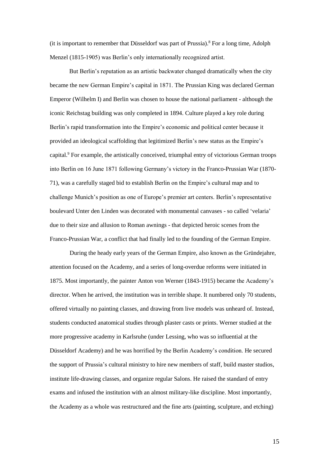(it is important to remember that Düsseldorf was part of Prussia). <sup>8</sup> For a long time, Adolph Menzel (1815-1905) was Berlin's only internationally recognized artist.

But Berlin's reputation as an artistic backwater changed dramatically when the city became the new German Empire's capital in 1871. The Prussian King was declared German Emperor (Wilhelm I) and Berlin was chosen to house the national parliament - although the iconic Reichstag building was only completed in 1894. Culture played a key role during Berlin's rapid transformation into the Empire's economic and political center because it provided an ideological scaffolding that legitimized Berlin's new status as the Empire's capital.<sup>9</sup> For example, the artistically conceived, triumphal entry of victorious German troops into Berlin on 16 June 1871 following Germany's victory in the Franco-Prussian War (1870- 71), was a carefully staged bid to establish Berlin on the Empire's cultural map and to challenge Munich's position as one of Europe's premier art centers. Berlin's representative boulevard Unter den Linden was decorated with monumental canvases - so called 'velaria' due to their size and allusion to Roman awnings - that depicted heroic scenes from the Franco-Prussian War, a conflict that had finally led to the founding of the German Empire.

During the heady early years of the German Empire, also known as the Gründejahre, attention focused on the Academy, and a series of long-overdue reforms were initiated in 1875. Most importantly, the painter Anton von Werner (1843-1915) became the Academy's director. When he arrived, the institution was in terrible shape. It numbered only 70 students, offered virtually no painting classes, and drawing from live models was unheard of. Instead, students conducted anatomical studies through plaster casts or prints. Werner studied at the more progressive academy in Karlsruhe (under Lessing, who was so influential at the Düsseldorf Academy) and he was horrified by the Berlin Academy's condition. He secured the support of Prussia's cultural ministry to hire new members of staff, build master studios, institute life-drawing classes, and organize regular Salons. He raised the standard of entry exams and infused the institution with an almost military-like discipline. Most importantly, the Academy as a whole was restructured and the fine arts (painting, sculpture, and etching)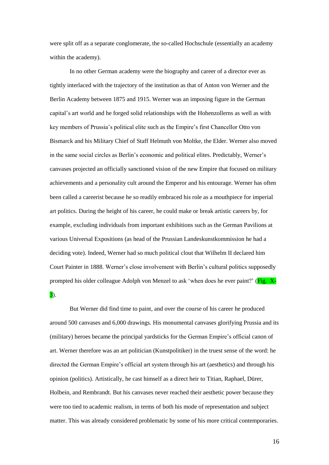were split off as a separate conglomerate, the so-called Hochschule (essentially an academy within the academy).

In no other German academy were the biography and career of a director ever as tightly interlaced with the trajectory of the institution as that of Anton von Werner and the Berlin Academy between 1875 and 1915. Werner was an imposing figure in the German capital's art world and he forged solid relationships with the Hohenzollerns as well as with key members of Prussia's political elite such as the Empire's first Chancellor Otto von Bismarck and his Military Chief of Staff Helmuth von Moltke, the Elder. Werner also moved in the same social circles as Berlin's economic and political elites. Predictably, Werner's canvases projected an officially sanctioned vision of the new Empire that focused on military achievements and a personality cult around the Emperor and his entourage. Werner has often been called a careerist because he so readily embraced his role as a mouthpiece for imperial art politics. During the height of his career, he could make or break artistic careers by, for example, excluding individuals from important exhibitions such as the German Pavilions at various Universal Expositions (as head of the Prussian Landeskunstkommission he had a deciding vote). Indeed, Werner had so much political clout that Wilhelm II declared him Court Painter in 1888. Werner's close involvement with Berlin's cultural politics supposedly prompted his older colleague Adolph von Menzel to ask 'when does he ever paint?' (Fig. X-3).

But Werner did find time to paint, and over the course of his career he produced around 500 canvases and 6,000 drawings. His monumental canvases glorifying Prussia and its (military) heroes became the principal yardsticks for the German Empire's official canon of art. Werner therefore was an art politician (Kunstpolitiker) in the truest sense of the word: he directed the German Empire's official art system through his art (aesthetics) and through his opinion (politics). Artistically, he cast himself as a direct heir to Titian, Raphael, Dürer, Holbein, and Rembrandt. But his canvases never reached their aesthetic power because they were too tied to academic realism, in terms of both his mode of representation and subject matter. This was already considered problematic by some of his more critical contemporaries.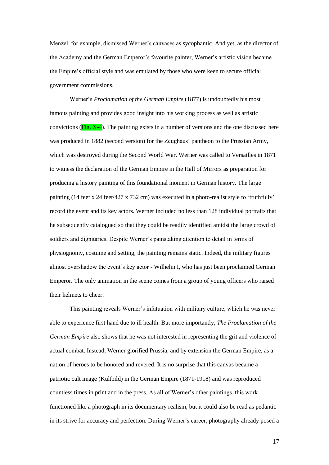Menzel, for example, dismissed Werner's canvases as sycophantic. And yet, as the director of the Academy and the German Emperor's favourite painter, Werner's artistic vision became the Empire's official style and was emulated by those who were keen to secure official government commissions.

Werner's *Proclamation of the German Empire* (1877) is undoubtedly his most famous painting and provides good insight into his working process as well as artistic convictions ( $Fig. X-4$ ). The painting exists in a number of versions and the one discussed here was produced in 1882 (second version) for the Zeughaus' pantheon to the Prussian Army, which was destroyed during the Second World War. Werner was called to Versailles in 1871 to witness the declaration of the German Empire in the Hall of Mirrors as preparation for producing a history painting of this foundational moment in German history. The large painting (14 feet x 24 feet/427 x 732 cm) was executed in a photo-realist style to 'truthfully' record the event and its key actors. Werner included no less than 128 individual portraits that he subsequently catalogued so that they could be readily identified amidst the large crowd of soldiers and dignitaries. Despite Werner's painstaking attention to detail in terms of physiognomy, costume and setting, the painting remains static. Indeed, the military figures almost overshadow the event's key actor - Wilhelm I, who has just been proclaimed German Emperor. The only animation in the scene comes from a group of young officers who raised their helmets to cheer.

This painting reveals Werner's infatuation with military culture, which he was never able to experience first hand due to ill health. But more importantly, *The Proclamation of the German Empire* also shows that he was not interested in representing the grit and violence of actual combat. Instead, Werner glorified Prussia, and by extension the German Empire, as a nation of heroes to be honored and revered. It is no surprise that this canvas became a patriotic cult image (Kultbild) in the German Empire (1871-1918) and was reproduced countless times in print and in the press. As all of Werner's other paintings, this work functioned like a photograph in its documentary realism, but it could also be read as pedantic in its strive for accuracy and perfection. During Werner's career, photography already posed a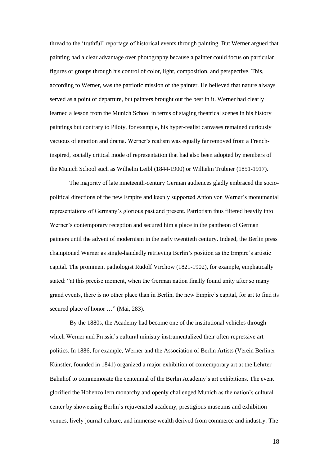thread to the 'truthful' reportage of historical events through painting. But Werner argued that painting had a clear advantage over photography because a painter could focus on particular figures or groups through his control of color, light, composition, and perspective. This, according to Werner, was the patriotic mission of the painter. He believed that nature always served as a point of departure, but painters brought out the best in it. Werner had clearly learned a lesson from the Munich School in terms of staging theatrical scenes in his history paintings but contrary to Piloty, for example, his hyper-realist canvases remained curiously vacuous of emotion and drama. Werner's realism was equally far removed from a Frenchinspired, socially critical mode of representation that had also been adopted by members of the Munich School such as Wilhelm Leibl (1844-1900) or Wilhelm Trübner (1851-1917).

The majority of late nineteenth-century German audiences gladly embraced the sociopolitical directions of the new Empire and keenly supported Anton von Werner's monumental representations of Germany's glorious past and present. Patriotism thus filtered heavily into Werner's contemporary reception and secured him a place in the pantheon of German painters until the advent of modernism in the early twentieth century. Indeed, the Berlin press championed Werner as single-handedly retrieving Berlin's position as the Empire's artistic capital. The prominent pathologist Rudolf Virchow (1821-1902), for example, emphatically stated: "at this precise moment, when the German nation finally found unity after so many grand events, there is no other place than in Berlin, the new Empire's capital, for art to find its secured place of honor ..." (Mai, 283).

By the 1880s, the Academy had become one of the institutional vehicles through which Werner and Prussia's cultural ministry instrumentalized their often-repressive art politics. In 1886, for example, Werner and the Association of Berlin Artists (Verein Berliner Künstler, founded in 1841) organized a major exhibition of contemporary art at the Lehrter Bahnhof to commemorate the centennial of the Berlin Academy's art exhibitions. The event glorified the Hohenzollern monarchy and openly challenged Munich as the nation's cultural center by showcasing Berlin's rejuvenated academy, prestigious museums and exhibition venues, lively journal culture, and immense wealth derived from commerce and industry. The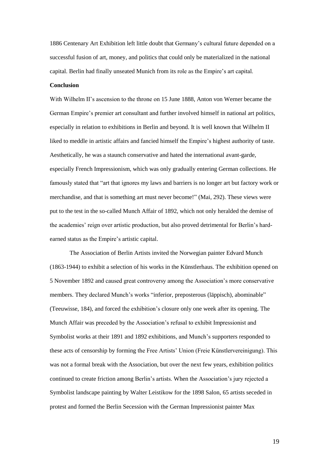1886 Centenary Art Exhibition left little doubt that Germany's cultural future depended on a successful fusion of art, money, and politics that could only be materialized in the national capital. Berlin had finally unseated Munich from its role as the Empire's art capital.

### **Conclusion**

With Wilhelm II's ascension to the throne on 15 June 1888, Anton von Werner became the German Empire's premier art consultant and further involved himself in national art politics, especially in relation to exhibitions in Berlin and beyond. It is well known that Wilhelm II liked to meddle in artistic affairs and fancied himself the Empire's highest authority of taste. Aesthetically, he was a staunch conservative and hated the international avant-garde, especially French Impressionism, which was only gradually entering German collections. He famously stated that "art that ignores my laws and barriers is no longer art but factory work or merchandise, and that is something art must never become!" (Mai, 292). These views were put to the test in the so-called Munch Affair of 1892, which not only heralded the demise of the academies' reign over artistic production, but also proved detrimental for Berlin's hardearned status as the Empire's artistic capital.

The Association of Berlin Artists invited the Norwegian painter Edvard Munch (1863-1944) to exhibit a selection of his works in the Künstlerhaus. The exhibition opened on 5 November 1892 and caused great controversy among the Association's more conservative members. They declared Munch's works "inferior, preposterous (läppisch), abominable" (Teeuwisse, 184), and forced the exhibition's closure only one week after its opening. The Munch Affair was preceded by the Association's refusal to exhibit Impressionist and Symbolist works at their 1891 and 1892 exhibitions, and Munch's supporters responded to these acts of censorship by forming the Free Artists' Union (Freie Künstlervereinigung). This was not a formal break with the Association, but over the next few years, exhibition politics continued to create friction among Berlin's artists. When the Association's jury rejected a Symbolist landscape painting by Walter Leistikow for the 1898 Salon, 65 artists seceded in protest and formed the Berlin Secession with the German Impressionist painter Max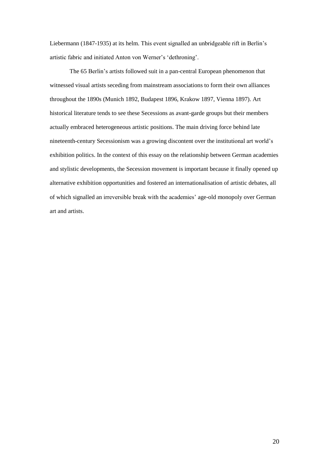Liebermann (1847-1935) at its helm. This event signalled an unbridgeable rift in Berlin's artistic fabric and initiated Anton von Werner's 'dethroning'.

The 65 Berlin's artists followed suit in a pan-central European phenomenon that witnessed visual artists seceding from mainstream associations to form their own alliances throughout the 1890s (Munich 1892, Budapest 1896, Krakow 1897, Vienna 1897). Art historical literature tends to see these Secessions as avant-garde groups but their members actually embraced heterogeneous artistic positions. The main driving force behind late nineteenth-century Secessionism was a growing discontent over the institutional art world's exhibition politics. In the context of this essay on the relationship between German academies and stylistic developments, the Secession movement is important because it finally opened up alternative exhibition opportunities and fostered an internationalisation of artistic debates, all of which signalled an irreversible break with the academies' age-old monopoly over German art and artists.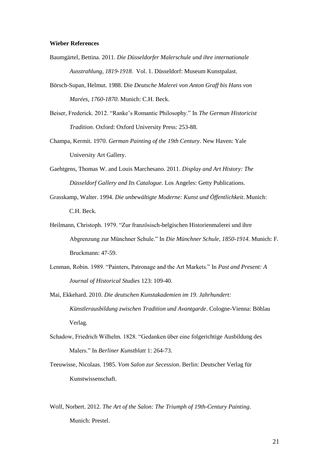#### **Wieber References**

- Baumgärtel, Bettina. 2011. *Die Düsseldorfer Malerschule und ihre internationale Ausstrahlung, 1819-1918*. Vol. 1. Düsseldorf: Museum Kunstpalast.
- Börsch-Supan, Helmut. 1988. Die *Deutsche Malerei von Anton Graff bis Hans von Marées, 1760-1870*. Munich: C.H. Beck.
- Beiser, Frederick. 2012. "Ranke's Romantic Philosophy." In *The German Historicist Tradition*. Oxford: Oxford University Press: 253-88.
- Champa, Kermit. 1970. *German Painting of the 19th Century*. New Haven: Yale University Art Gallery.
- Gaehtgens, Thomas W. and Louis Marchesano. 2011. *Display and Art History: The Düsseldorf Gallery and Its Catalogue*. Los Angeles: Getty Publications.
- Grasskamp, Walter. 1994. *Die unbewältigte Moderne: Kunst und Öffentlichkeit*. Munich: C.H. Beck.
- Heilmann, Christoph. 1979. "Zur französisch-belgischen Historienmalerei und ihre Abgrenzung zur Münchner Schule." In *Die Münchner Schule, 1850-1914.* Munich: F. Bruckmann: 47-59.
- Lenman, Robin. 1989. "Painters, Patronage and the Art Markets." In *Past and Present: A Journal of Historical Studies* 123: 109-40.
- Mai, Ekkehard. 2010. *Die deutschen Kunstakademien im 19. Jahrhundert: Künstlerausbildung zwischen Tradition und Avantgarde*. Cologne-Vienna: Böhlau Verlag.
- Schadow, Friedrich Wilhelm. 1828. "Gedanken über eine folgerichtige Ausbildung des Malers." In *Berliner Kunstblatt* 1: 264-73.
- Teeuwisse, Nicolaas. 1985. *Vom Salon zur Secession*. Berlin: Deutscher Verlag für Kunstwissenschaft.

Wolf, Norbert. 2012. *The Art of the Salon: The Triumph of 19th-Century Painting*. Munich: Prestel.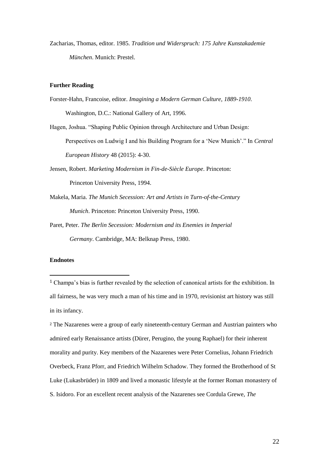Zacharias, Thomas, editor. 1985. *Tradition und Widerspruch: 175 Jahre Kunstakademie München*. Munich: Prestel.

#### **Further Reading**

Forster-Hahn, Francoise, editor. *Imagining a Modern German Culture, 1889-1910*.

Washington, D.C.: National Gallery of Art, 1996.

Hagen, Joshua. "Shaping Public Opinion through Architecture and Urban Design:

Perspectives on Ludwig I and his Building Program for a 'New Munich'." In *Central European History* 48 (2015): 4-30.

Jensen, Robert. *Marketing Modernism in Fin-de-Siècle Europe*. Princeton: Princeton University Press, 1994.

Makela, Maria. *The Munich Secession: Art and Artists in Turn-of-the-Century Munich*. Princeton: Princeton University Press, 1990.

Paret, Peter. *The Berlin Secession: Modernism and its Enemies in Imperial Germany*. Cambridge, MA: Belknap Press, 1980.

## **Endnotes**

 $\overline{a}$ 

<sup>2</sup> The Nazarenes were a group of early nineteenth-century German and Austrian painters who admired early Renaissance artists (Dürer, Perugino, the young Raphael) for their inherent morality and purity. Key members of the Nazarenes were Peter Cornelius, Johann Friedrich Overbeck, Franz Pforr, and Friedrich Wilhelm Schadow. They formed the Brotherhood of St Luke (Lukasbrüder) in 1809 and lived a monastic lifestyle at the former Roman monastery of S. Isidoro. For an excellent recent analysis of the Nazarenes see Cordula Grewe, *The* 

<sup>1</sup> Champa's bias is further revealed by the selection of canonical artists for the exhibition. In all fairness, he was very much a man of his time and in 1970, revisionist art history was still in its infancy.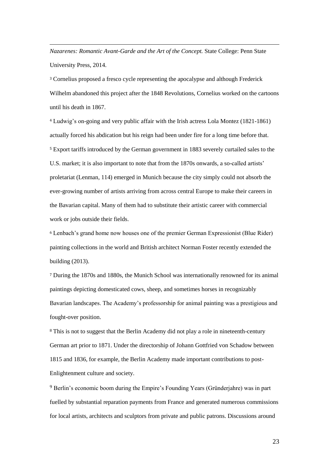*Nazarenes: Romantic Avant-Garde and the Art of the Concept.* State College: Penn State University Press, 2014.

 $\overline{a}$ 

<sup>3</sup> Cornelius proposed a fresco cycle representing the apocalypse and although Frederick Wilhelm abandoned this project after the 1848 Revolutions, Cornelius worked on the cartoons until his death in 1867.

<sup>4</sup> Ludwig's on-going and very public affair with the Irish actress Lola Montez (1821-1861) actually forced his abdication but his reign had been under fire for a long time before that. <sup>5</sup> Export tariffs introduced by the German government in 1883 severely curtailed sales to the U.S. market; it is also important to note that from the 1870s onwards, a so-called artists' proletariat (Lenman, 114) emerged in Munich because the city simply could not absorb the ever-growing number of artists arriving from across central Europe to make their careers in the Bavarian capital. Many of them had to substitute their artistic career with commercial work or jobs outside their fields.

<sup>6</sup> Lenbach's grand home now houses one of the premier German Expressionist (Blue Rider) painting collections in the world and British architect Norman Foster recently extended the building (2013).

<sup>7</sup> During the 1870s and 1880s, the Munich School was internationally renowned for its animal paintings depicting domesticated cows, sheep, and sometimes horses in recognizably Bavarian landscapes. The Academy's professorship for animal painting was a prestigious and fought-over position.

<sup>8</sup> This is not to suggest that the Berlin Academy did not play a role in nineteenth-century German art prior to 1871. Under the directorship of Johann Gottfried von Schadow between 1815 and 1836, for example, the Berlin Academy made important contributions to post-Enlightenment culture and society.

<sup>9</sup> Berlin's economic boom during the Empire's Founding Years (Gründerjahre) was in part fuelled by substantial reparation payments from France and generated numerous commissions for local artists, architects and sculptors from private and public patrons. Discussions around